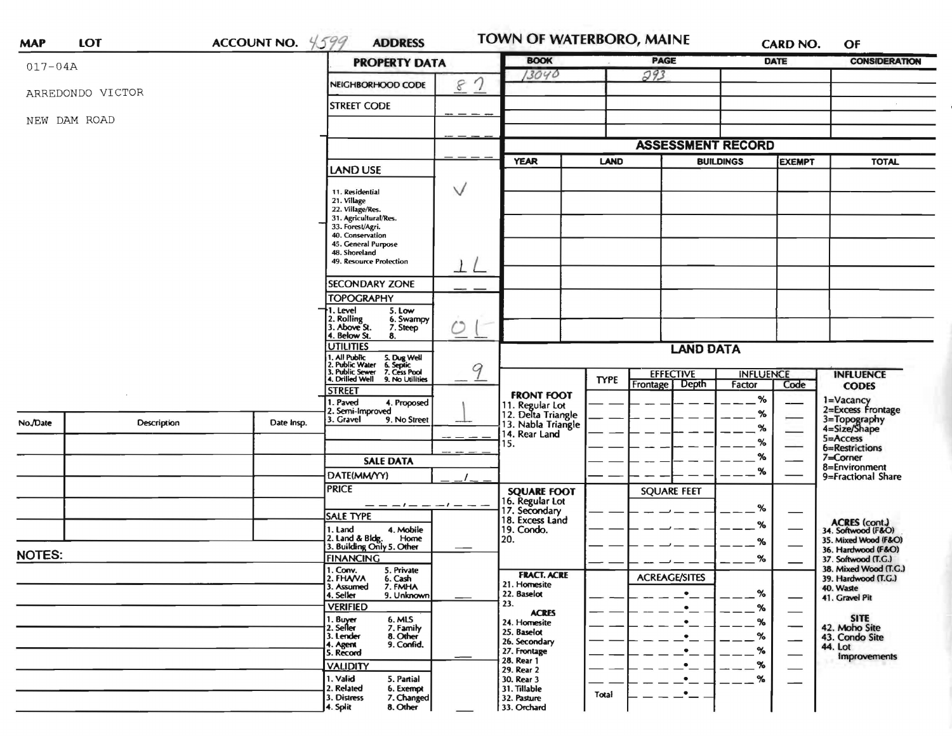| <b>MAP</b>    | LOT                | ACCOUNT NO. 4599                                                      | <b>ADDRESS</b>                                                                                                                                                                         |             | <b>TOWN OF WATERBORO, MAINE</b>                             |             |                                      |                            | <b>CARD NO.</b>                           | OF                                  |
|---------------|--------------------|-----------------------------------------------------------------------|----------------------------------------------------------------------------------------------------------------------------------------------------------------------------------------|-------------|-------------------------------------------------------------|-------------|--------------------------------------|----------------------------|-------------------------------------------|-------------------------------------|
| $017 - 04A$   |                    | <b>PROPERTY DATA</b>                                                  |                                                                                                                                                                                        | <b>BOOK</b> |                                                             | <b>PAGE</b> |                                      | <b>DATE</b>                | <b>CONSIDERATION</b>                      |                                     |
|               |                    |                                                                       | NEIGHBORHOOD CODE                                                                                                                                                                      | 82          | 13040                                                       |             | 293                                  |                            |                                           |                                     |
|               | ARREDONDO VICTOR   |                                                                       | <b>STREET CODE</b>                                                                                                                                                                     |             |                                                             |             |                                      |                            |                                           |                                     |
|               | NEW DAM ROAD       |                                                                       |                                                                                                                                                                                        |             |                                                             |             |                                      |                            |                                           |                                     |
|               |                    |                                                                       |                                                                                                                                                                                        |             |                                                             |             |                                      |                            |                                           |                                     |
|               |                    |                                                                       |                                                                                                                                                                                        |             |                                                             | <b>LAND</b> | <b>ASSESSMENT RECORD</b>             | <b>EXEMPT</b>              |                                           |                                     |
|               |                    |                                                                       | <b>LAND USE</b>                                                                                                                                                                        |             | <b>YEAR</b>                                                 |             |                                      | <b>BUILDINGS</b>           |                                           | <b>TOTAL</b>                        |
|               |                    |                                                                       | 11. Residential<br>21. Village<br>22. Village/Res.<br>31. Agricultural/Res.<br>33. Forest/Agri.<br>40. Conservation<br>45. General Purpose<br>48. Shoreland<br>49. Resource Protection | $\vee$      |                                                             |             |                                      |                            |                                           |                                     |
|               |                    |                                                                       | <b>SECONDARY ZONE</b>                                                                                                                                                                  |             |                                                             |             |                                      |                            |                                           |                                     |
|               |                    |                                                                       | <b>TOPOGRAPHY</b><br>1. Level<br>5. Low                                                                                                                                                |             |                                                             |             |                                      |                            |                                           |                                     |
|               |                    |                                                                       | 2. Rolling<br>3. Above St.<br>6. Swampy<br>7. Steep<br>4. Below St.<br>8.                                                                                                              | Õ           |                                                             |             |                                      |                            |                                           |                                     |
|               |                    |                                                                       | <b>UTILITIES</b>                                                                                                                                                                       | 9           | <b>LAND DATA</b>                                            |             |                                      |                            |                                           |                                     |
|               |                    |                                                                       | 1. All Public<br>2. Public Water<br>3. Public Sewer<br>4. Drilled Well<br>5. Dug Well<br>6. Septic<br>7. Cess Pool                                                                     |             |                                                             |             |                                      |                            |                                           |                                     |
|               |                    |                                                                       | 9. No Utilities                                                                                                                                                                        |             |                                                             | <b>TYPE</b> | <b>EFFECTIVE</b><br>Frontage   Depth | <b>INFLUENCE</b><br>Factor | Code                                      | <b>INFLUENCE</b><br><b>CODES</b>    |
|               |                    |                                                                       | <b>STREET</b><br>I. Paved<br>4. Proposed<br>2. Semi-Improved                                                                                                                           |             | <b>FRONT FOOT</b>                                           |             |                                      | %<br>%                     |                                           | 1=Vacancy<br>2=Excess Frontage      |
| No./Date      | <b>Description</b> | Date Insp.                                                            | 3. Gravel<br>9. No Street                                                                                                                                                              |             | 11. Regular Lot<br>12. Delta Triangle<br>13. Nabla Triangle |             |                                      | %                          |                                           | 3=Topography<br>4=Size/Shape        |
|               |                    |                                                                       |                                                                                                                                                                                        |             | 14. Rear Land<br>15.                                        |             |                                      | %                          |                                           | $5 =$ Access<br>6=Restrictions      |
|               |                    |                                                                       | <b>SALE DATA</b>                                                                                                                                                                       |             |                                                             |             |                                      | %                          |                                           | $7=Corner$                          |
|               |                    |                                                                       | DATE(MM/YY)                                                                                                                                                                            |             |                                                             |             |                                      | %                          |                                           | 8=Environment<br>9=Fractional Share |
|               |                    |                                                                       | <b>PRICE</b>                                                                                                                                                                           |             | <b>SQUARE FOOT</b>                                          |             | <b>SQUARE FEET</b>                   |                            |                                           |                                     |
|               |                    |                                                                       | — — — ! — — — ! — — —                                                                                                                                                                  |             | 16. Regular Lot<br>17. Secondary<br>18. Excess Land         |             |                                      | %                          |                                           |                                     |
|               |                    |                                                                       | <b>SALE TYPE</b><br>4. Mobile<br>1. Land                                                                                                                                               |             | 19. Condo.                                                  |             |                                      | %                          |                                           | ACRES (cont.)<br>34. Softwood (F&O) |
|               |                    |                                                                       | 2. Land & Bldg. Home<br>3. Building Only 5. Other<br>Home                                                                                                                              |             | 20.                                                         |             |                                      | %                          |                                           | 35. Mixed Wood (F&O)                |
| <b>NOTES:</b> |                    | <b>FINANCING</b>                                                      |                                                                                                                                                                                        |             |                                                             |             | %                                    |                            | 36. Hardwood (F&O)<br>37. Softwood (T.G.) |                                     |
|               |                    |                                                                       | 1. Conv.<br>5. Private<br>6. Cash                                                                                                                                                      |             | <b>FRACT. ACRE</b>                                          |             | <b>ACREAGE/SITES</b>                 |                            |                                           | 38. Mixed Wood (T.G.)               |
|               |                    |                                                                       | 2. FHAVA<br>3. Assumed<br>7. FMHA                                                                                                                                                      |             | 21. Homesite                                                |             |                                      |                            |                                           | 39. Hardwood (T.G.)<br>40. Waste    |
|               |                    |                                                                       | 4. Seller<br>9. Unknown<br><b>VERIFIED</b>                                                                                                                                             |             | 22. Baselot<br>23.                                          |             | $\bullet$<br>$\bullet$               | $\%$<br>%                  |                                           | 41. Gravel Pit                      |
|               |                    |                                                                       |                                                                                                                                                                                        |             | <b>ACRES</b><br>24. Homesite                                |             | $\bullet$                            | %                          |                                           | <b>SITE</b>                         |
|               |                    | 1. Buyer<br>2. Seller<br>6. MLS<br>7. Family<br>3. Lender<br>8. Other |                                                                                                                                                                                        | 25. Baselot |                                                             | $\bullet$   | %                                    |                            | 42. Moho Site<br>43. Condo Site           |                                     |
|               |                    |                                                                       | 9. Confid.<br>4. Agent<br>5. Record                                                                                                                                                    |             | 26. Secondary<br>27. Frontage                               |             | $\bullet$                            | %                          |                                           | 44. Lot                             |
|               |                    |                                                                       | <b>VALIDITY</b>                                                                                                                                                                        |             | 28. Rear 1<br>29. Rear 2                                    |             |                                      | $\%$                       |                                           | <b>Improvements</b>                 |
|               |                    |                                                                       | 1. Valid<br>5. Partial                                                                                                                                                                 |             | 30. Rear 3                                                  |             |                                      | %                          |                                           |                                     |
|               |                    |                                                                       | 2. Related<br>6. Exempt<br>3. Distress<br>7. Changed                                                                                                                                   |             | 31. Tillable<br>32. Pasture                                 | Total       |                                      |                            |                                           |                                     |
|               |                    |                                                                       | 4. Split<br>8. Other                                                                                                                                                                   |             | 33. Orchard                                                 |             |                                      |                            |                                           |                                     |